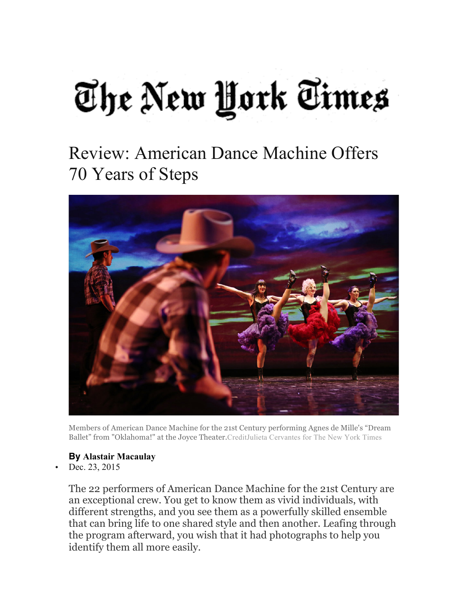## The New York Times

## Review: American Dance Machine Offers 70 Years of Steps



Members of American Dance Machine for the 21st Century performing Agnes de Mille's "Dream Ballet" from "Oklahoma!" at the Joyce Theater.CreditJulieta Cervantes for The New York Times

## **By Alastair Macaulay**

Dec. 23, 2015

The 22 performers of American Dance Machine for the 21st Century are an exceptional crew. You get to know them as vivid individuals, with different strengths, and you see them as a powerfully skilled ensemble that can bring life to one shared style and then another. Leafing through the program afterward, you wish that it had photographs to help you identify them all more easily.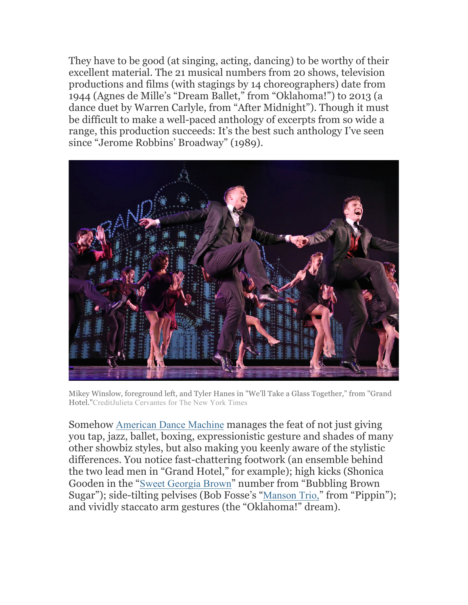They have to be good (at singing, acting, dancing) to be worthy of their excellent material. The 21 musical numbers from 20 shows, television productions and films (with stagings by 14 choreographers) date from 1944 (Agnes de Mille's "Dream Ballet," from "Oklahoma!") to 2013 (a dance duet by Warren Carlyle, from "After Midnight"). Though it must be difficult to make a well-paced anthology of excerpts from so wide a range, this production succeeds: It's the best such anthology I've seen since "Jerome Robbins' Broadway" (1989).



Mikey Winslow, foreground left, and Tyler Hanes in "We'll Take a Glass Together," from "Grand Hotel."CreditJulieta Cervantes for The New York Times

Somehow American Dance Machine manages the feat of not just giving you tap, jazz, ballet, boxing, expressionistic gesture and shades of many other showbiz styles, but also making you keenly aware of the stylistic differences. You notice fast-chattering footwork (an ensemble behind the two lead men in "Grand Hotel," for example); high kicks (Shonica Gooden in the "Sweet Georgia Brown" number from "Bubbling Brown Sugar"); side-tilting pelvises (Bob Fosse's "Manson Trio," from "Pippin"); and vividly staccato arm gestures (the "Oklahoma!" dream).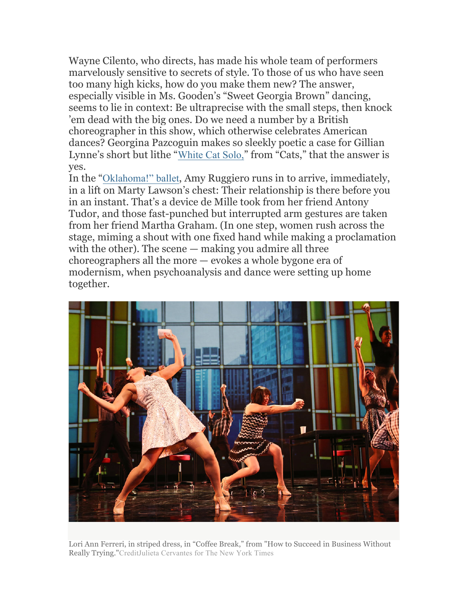Wayne Cilento, who directs, has made his whole team of performers marvelously sensitive to secrets of style. To those of us who have seen too many high kicks, how do you make them new? The answer, especially visible in Ms. Gooden's "Sweet Georgia Brown" dancing, seems to lie in context: Be ultraprecise with the small steps, then knock 'em dead with the big ones. Do we need a number by a British choreographer in this show, which otherwise celebrates American dances? Georgina Pazcoguin makes so sleekly poetic a case for Gillian Lynne's short but lithe "White Cat Solo," from "Cats," that the answer is yes.

In the "Oklahoma!" ballet, Amy Ruggiero runs in to arrive, immediately, in a lift on Marty Lawson's chest: Their relationship is there before you in an instant. That's a device de Mille took from her friend Antony Tudor, and those fast-punched but interrupted arm gestures are taken from her friend Martha Graham. (In one step, women rush across the stage, miming a shout with one fixed hand while making a proclamation with the other). The scene — making you admire all three choreographers all the more — evokes a whole bygone era of modernism, when psychoanalysis and dance were setting up home together.



Lori Ann Ferreri, in striped dress, in "Coffee Break," from "How to Succeed in Business Without Really Trying."CreditJulieta Cervantes for The New York Times